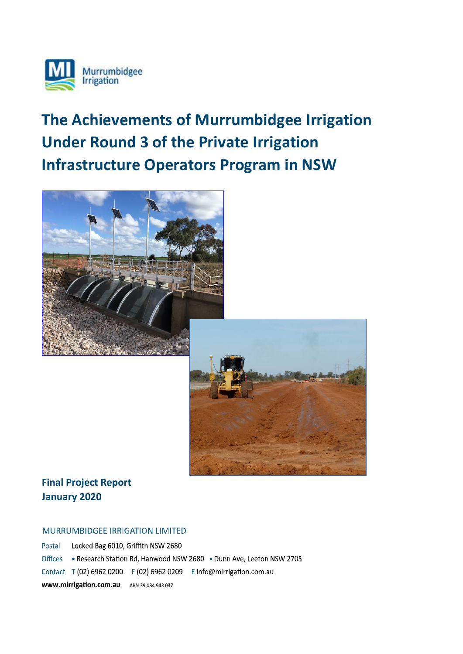

# **The Achievements of Murrumbidgee Irrigation Under Round 3 of the Private Irrigation Infrastructure Operators Program in NSW**





## **Final Project Report January 2020**

#### MURRUMBIDGEE IRRIGATION LIMITED

Postal Locked Bag 6010, Griffith NSW 2680 Offices . Research Station Rd, Hanwood NSW 2680 . Dunn Ave, Leeton NSW 2705 Contact T (02) 6962 0200 F (02) 6962 0209 E info@mirrigation.com.au WWW.mirrigation.com.au ABN 39 084 943 037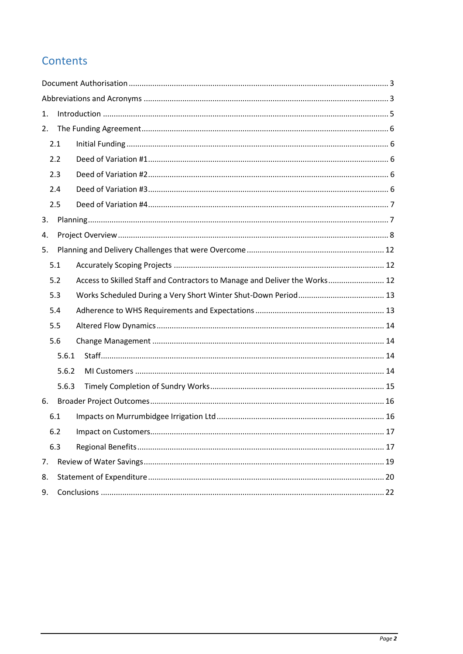## Contents

| 1.  |       |                                                                            |  |  |  |  |
|-----|-------|----------------------------------------------------------------------------|--|--|--|--|
| 2.  |       |                                                                            |  |  |  |  |
|     | 2.1   |                                                                            |  |  |  |  |
|     | 2.2   |                                                                            |  |  |  |  |
|     | 2.3   |                                                                            |  |  |  |  |
|     | 2.4   |                                                                            |  |  |  |  |
|     | 2.5   |                                                                            |  |  |  |  |
| 3.  |       |                                                                            |  |  |  |  |
| 4.  |       |                                                                            |  |  |  |  |
| 5.  |       |                                                                            |  |  |  |  |
|     | 5.1   |                                                                            |  |  |  |  |
|     | 5.2   | Access to Skilled Staff and Contractors to Manage and Deliver the Works 12 |  |  |  |  |
|     | 5.3   |                                                                            |  |  |  |  |
|     | 5.4   |                                                                            |  |  |  |  |
|     | 5.5   |                                                                            |  |  |  |  |
|     | 5.6   |                                                                            |  |  |  |  |
|     | 5.6.1 |                                                                            |  |  |  |  |
|     | 5.6.2 |                                                                            |  |  |  |  |
|     | 5.6.3 |                                                                            |  |  |  |  |
| 6.  |       |                                                                            |  |  |  |  |
|     | 6.1   |                                                                            |  |  |  |  |
|     | 6.2   |                                                                            |  |  |  |  |
| 6.3 |       |                                                                            |  |  |  |  |
| 7.  |       |                                                                            |  |  |  |  |
| 8.  |       |                                                                            |  |  |  |  |
| 9.  |       |                                                                            |  |  |  |  |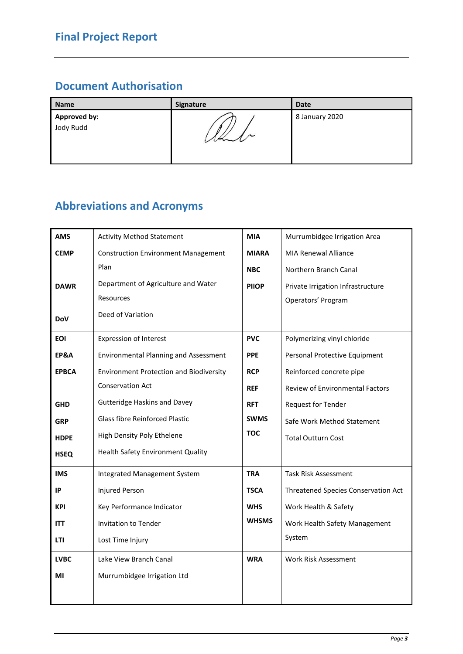## <span id="page-2-0"></span>**Document Authorisation**

| <b>Name</b>               | Signature    | <b>Date</b>    |
|---------------------------|--------------|----------------|
| Approved by:<br>Jody Rudd | $\prime\sim$ | 8 January 2020 |

## <span id="page-2-1"></span>**Abbreviations and Acronyms**

| <b>AMS</b>                                          | <b>Activity Method Statement</b>                             | <b>MIA</b>   | Murrumbidgee Irrigation Area               |  |
|-----------------------------------------------------|--------------------------------------------------------------|--------------|--------------------------------------------|--|
| <b>CEMP</b>                                         | <b>Construction Environment Management</b>                   | <b>MIARA</b> | <b>MIA Renewal Alliance</b>                |  |
|                                                     | Plan                                                         | <b>NBC</b>   | Northern Branch Canal                      |  |
| <b>DAWR</b>                                         | Department of Agriculture and Water                          | <b>PIIOP</b> | Private Irrigation Infrastructure          |  |
|                                                     | <b>Resources</b>                                             |              | Operators' Program                         |  |
| <b>DoV</b>                                          | Deed of Variation                                            |              |                                            |  |
| <b>EOI</b>                                          | <b>Expression of Interest</b>                                | <b>PVC</b>   | Polymerizing vinyl chloride                |  |
| <b>EP&amp;A</b>                                     | <b>Environmental Planning and Assessment</b>                 | <b>PPE</b>   | Personal Protective Equipment              |  |
| <b>EPBCA</b>                                        | <b>Environment Protection and Biodiversity</b><br><b>RCP</b> |              | Reinforced concrete pipe                   |  |
|                                                     | <b>Conservation Act</b>                                      | <b>REF</b>   | <b>Review of Environmental Factors</b>     |  |
| <b>Gutteridge Haskins and Davey</b><br><b>GHD</b>   |                                                              | <b>RFT</b>   | Request for Tender                         |  |
| <b>Glass fibre Reinforced Plastic</b><br><b>GRP</b> |                                                              | <b>SWMS</b>  | Safe Work Method Statement                 |  |
| High Density Poly Ethelene<br><b>HDPE</b>           |                                                              | <b>TOC</b>   | <b>Total Outturn Cost</b>                  |  |
| <b>HSEQ</b>                                         | Health Safety Environment Quality                            |              |                                            |  |
| <b>IMS</b>                                          | Integrated Management System                                 | <b>TRA</b>   | <b>Task Risk Assessment</b>                |  |
| IP                                                  | Injured Person                                               | <b>TSCA</b>  | <b>Threatened Species Conservation Act</b> |  |
| <b>KPI</b>                                          | Key Performance Indicator                                    | <b>WHS</b>   | Work Health & Safety                       |  |
| <b>ITT</b>                                          | Invitation to Tender                                         | <b>WHSMS</b> | Work Health Safety Management              |  |
| LTI                                                 | Lost Time Injury                                             |              | System                                     |  |
| <b>LVBC</b>                                         | Lake View Branch Canal                                       | <b>WRA</b>   | <b>Work Risk Assessment</b>                |  |
| ΜI                                                  | Murrumbidgee Irrigation Ltd                                  |              |                                            |  |
|                                                     |                                                              |              |                                            |  |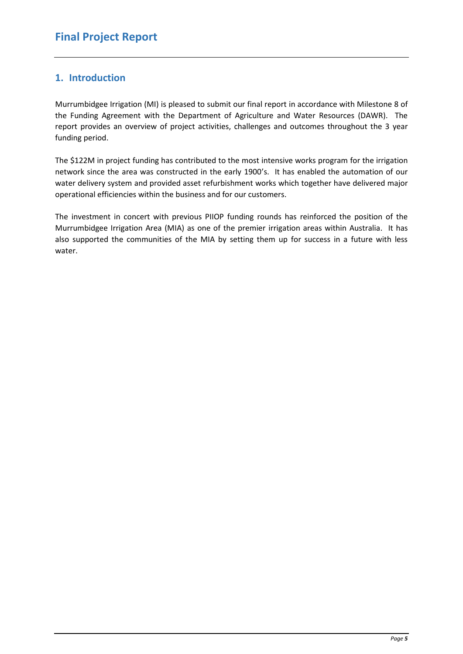### <span id="page-4-0"></span>**1. Introduction**

Murrumbidgee Irrigation (MI) is pleased to submit our final report in accordance with Milestone 8 of the Funding Agreement with the Department of Agriculture and Water Resources (DAWR). The report provides an overview of project activities, challenges and outcomes throughout the 3 year funding period.

The \$122M in project funding has contributed to the most intensive works program for the irrigation network since the area was constructed in the early 1900's. It has enabled the automation of our water delivery system and provided asset refurbishment works which together have delivered major operational efficiencies within the business and for our customers.

The investment in concert with previous PIIOP funding rounds has reinforced the position of the Murrumbidgee Irrigation Area (MIA) as one of the premier irrigation areas within Australia. It has also supported the communities of the MIA by setting them up for success in a future with less water.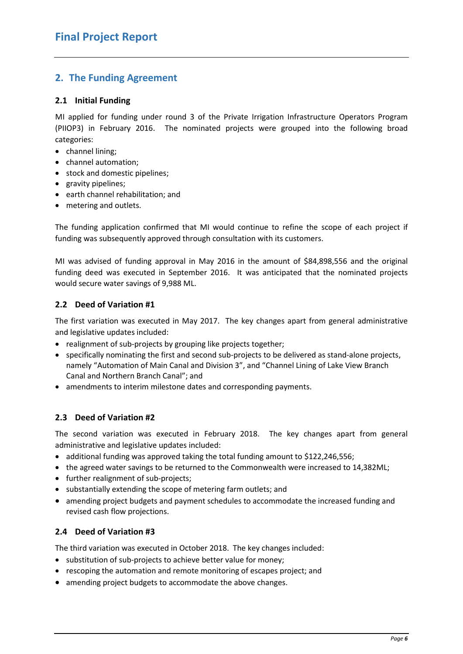### <span id="page-5-5"></span><span id="page-5-0"></span>**2. The Funding Agreement**

#### <span id="page-5-1"></span>**2.1 Initial Funding**

MI applied for funding under round 3 of the Private Irrigation Infrastructure Operators Program (PIIOP3) in February 2016. The nominated projects were grouped into the following broad categories:

- channel lining;
- channel automation;
- stock and domestic pipelines;
- gravity pipelines;
- earth channel rehabilitation; and
- metering and outlets.

The funding application confirmed that MI would continue to refine the scope of each project if funding was subsequently approved through consultation with its customers.

MI was advised of funding approval in May 2016 in the amount of \$84,898,556 and the original funding deed was executed in September 2016. It was anticipated that the nominated projects would secure water savings of 9,988 ML.

#### <span id="page-5-2"></span>**2.2 Deed of Variation #1**

The first variation was executed in May 2017. The key changes apart from general administrative and legislative updates included:

- realignment of sub-projects by grouping like projects together;
- specifically nominating the first and second sub-projects to be delivered as stand-alone projects, namely "Automation of Main Canal and Division 3", and "Channel Lining of Lake View Branch Canal and Northern Branch Canal"; and
- amendments to interim milestone dates and corresponding payments.

#### <span id="page-5-3"></span>**2.3 Deed of Variation #2**

The second variation was executed in February 2018. The key changes apart from general administrative and legislative updates included:

- additional funding was approved taking the total funding amount to \$122,246,556;
- the agreed water savings to be returned to the Commonwealth were increased to 14,382ML;
- further realignment of sub-projects;
- substantially extending the scope of metering farm outlets; and
- amending project budgets and payment schedules to accommodate the increased funding and revised cash flow projections.

#### <span id="page-5-4"></span>**2.4 Deed of Variation #3**

The third variation was executed in October 2018. The key changes included:

- substitution of sub-projects to achieve better value for money;
- rescoping the automation and remote monitoring of escapes project; and
- amending project budgets to accommodate the above changes.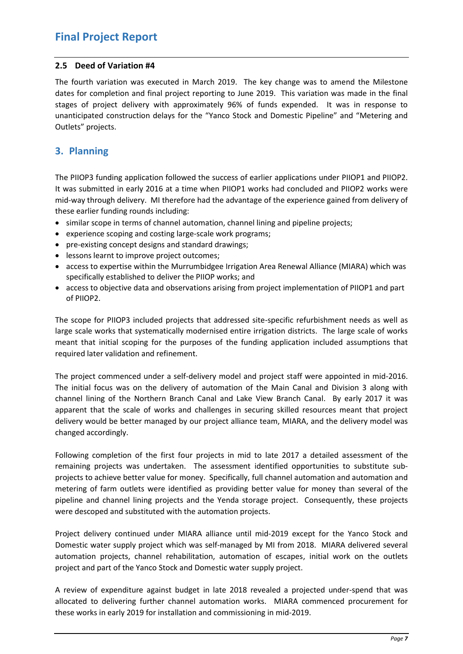#### **2.5 Deed of Variation #4**

The fourth variation was executed in March 2019. The key change was to amend the Milestone dates for completion and final project reporting to June 2019. This variation was made in the final stages of project delivery with approximately 96% of funds expended. It was in response to unanticipated construction delays for the "Yanco Stock and Domestic Pipeline" and "Metering and Outlets" projects.

### <span id="page-6-0"></span>**3. Planning**

The PIIOP3 funding application followed the success of earlier applications under PIIOP1 and PIIOP2. It was submitted in early 2016 at a time when PIIOP1 works had concluded and PIIOP2 works were mid-way through delivery. MI therefore had the advantage of the experience gained from delivery of these earlier funding rounds including:

- similar scope in terms of channel automation, channel lining and pipeline projects;
- experience scoping and costing large-scale work programs;
- pre-existing concept designs and standard drawings;
- lessons learnt to improve project outcomes;
- access to expertise within the Murrumbidgee Irrigation Area Renewal Alliance (MIARA) which was specifically established to deliver the PIIOP works; and
- access to objective data and observations arising from project implementation of PIIOP1 and part of PIIOP2.

The scope for PIIOP3 included projects that addressed site-specific refurbishment needs as well as large scale works that systematically modernised entire irrigation districts. The large scale of works meant that initial scoping for the purposes of the funding application included assumptions that required later validation and refinement.

The project commenced under a self-delivery model and project staff were appointed in mid-2016. The initial focus was on the delivery of automation of the Main Canal and Division 3 along with channel lining of the Northern Branch Canal and Lake View Branch Canal. By early 2017 it was apparent that the scale of works and challenges in securing skilled resources meant that project delivery would be better managed by our project alliance team, MIARA, and the delivery model was changed accordingly.

Following completion of the first four projects in mid to late 2017 a detailed assessment of the remaining projects was undertaken. The assessment identified opportunities to substitute subprojects to achieve better value for money. Specifically, full channel automation and automation and metering of farm outlets were identified as providing better value for money than several of the pipeline and channel lining projects and the Yenda storage project. Consequently, these projects were descoped and substituted with the automation projects.

Project delivery continued under MIARA alliance until mid-2019 except for the Yanco Stock and Domestic water supply project which was self-managed by MI from 2018. MIARA delivered several automation projects, channel rehabilitation, automation of escapes, initial work on the outlets project and part of the Yanco Stock and Domestic water supply project.

A review of expenditure against budget in late 2018 revealed a projected under-spend that was allocated to delivering further channel automation works. MIARA commenced procurement for these works in early 2019 for installation and commissioning in mid-2019.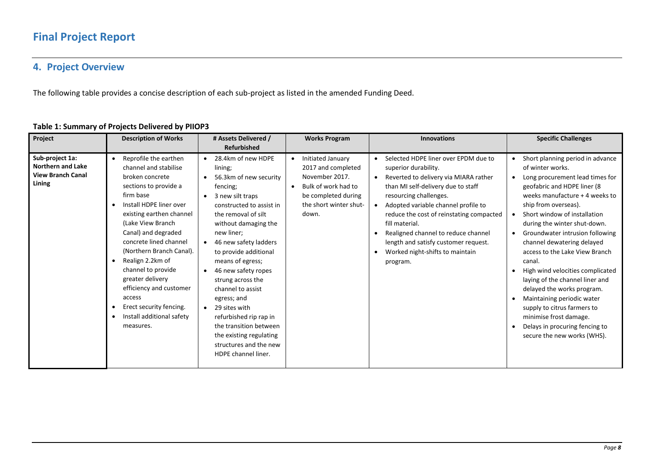## **4. Project Overview**

The following table provides a concise description of each sub-project as listed in the amended Funding Deed.

<span id="page-7-0"></span>

| Project                                                                           | <b>Description of Works</b>                                                                                                                                                                                                                                                                                                                                                                                                                                                                  | # Assets Delivered /                                                                                                                                                                                                                                                                                                                                                                                                                                                                                                                        | <b>Works Program</b>                                                                                                                                    | <b>Innovations</b>                                                                                                                                                                                                                                                                                                                                                                                       | <b>Specific Challenges</b>                                                                                                                                                                                                                                                                                                                                                                                                                                                                                                                                                                                                 |
|-----------------------------------------------------------------------------------|----------------------------------------------------------------------------------------------------------------------------------------------------------------------------------------------------------------------------------------------------------------------------------------------------------------------------------------------------------------------------------------------------------------------------------------------------------------------------------------------|---------------------------------------------------------------------------------------------------------------------------------------------------------------------------------------------------------------------------------------------------------------------------------------------------------------------------------------------------------------------------------------------------------------------------------------------------------------------------------------------------------------------------------------------|---------------------------------------------------------------------------------------------------------------------------------------------------------|----------------------------------------------------------------------------------------------------------------------------------------------------------------------------------------------------------------------------------------------------------------------------------------------------------------------------------------------------------------------------------------------------------|----------------------------------------------------------------------------------------------------------------------------------------------------------------------------------------------------------------------------------------------------------------------------------------------------------------------------------------------------------------------------------------------------------------------------------------------------------------------------------------------------------------------------------------------------------------------------------------------------------------------------|
|                                                                                   |                                                                                                                                                                                                                                                                                                                                                                                                                                                                                              | <b>Refurbished</b>                                                                                                                                                                                                                                                                                                                                                                                                                                                                                                                          |                                                                                                                                                         |                                                                                                                                                                                                                                                                                                                                                                                                          |                                                                                                                                                                                                                                                                                                                                                                                                                                                                                                                                                                                                                            |
| Sub-project 1a:<br><b>Northern and Lake</b><br><b>View Branch Canal</b><br>Lining | Reprofile the earthen<br>$\bullet$<br>channel and stabilise<br>broken concrete<br>sections to provide a<br>firm base<br>Install HDPE liner over<br>existing earthen channel<br>(Lake View Branch<br>Canal) and degraded<br>concrete lined channel<br>(Northern Branch Canal).<br>Realign 2.2km of<br>$\bullet$<br>channel to provide<br>greater delivery<br>efficiency and customer<br>access<br>Erect security fencing.<br>$\bullet$<br>Install additional safety<br>$\bullet$<br>measures. | 28.4km of new HDPE<br>$\bullet$<br>lining;<br>56.3km of new security<br>fencing;<br>3 new silt traps<br>constructed to assist in<br>the removal of silt<br>without damaging the<br>new liner;<br>46 new safety ladders<br>$\bullet$<br>to provide additional<br>means of egress;<br>46 new safety ropes<br>$\bullet$<br>strung across the<br>channel to assist<br>egress; and<br>29 sites with<br>$\bullet$<br>refurbished rip rap in<br>the transition between<br>the existing regulating<br>structures and the new<br>HDPE channel liner. | Initiated January<br>$\bullet$<br>2017 and completed<br>November 2017.<br>Bulk of work had to<br>be completed during<br>the short winter shut-<br>down. | Selected HDPE liner over EPDM due to<br>superior durability.<br>Reverted to delivery via MIARA rather<br>than MI self-delivery due to staff<br>resourcing challenges.<br>Adopted variable channel profile to<br>reduce the cost of reinstating compacted<br>fill material.<br>Realigned channel to reduce channel<br>length and satisfy customer request.<br>Worked night-shifts to maintain<br>program. | Short planning period in advance<br>of winter works.<br>Long procurement lead times for<br>geofabric and HDPE liner (8<br>weeks manufacture + 4 weeks to<br>ship from overseas).<br>Short window of installation<br>during the winter shut-down.<br>Groundwater intrusion following<br>channel dewatering delayed<br>access to the Lake View Branch<br>canal.<br>High wind velocities complicated<br>laying of the channel liner and<br>delayed the works program.<br>Maintaining periodic water<br>supply to citrus farmers to<br>minimise frost damage.<br>Delays in procuring fencing to<br>secure the new works (WHS). |

#### **Table 1: Summary of Projects Delivered by PIIOP3**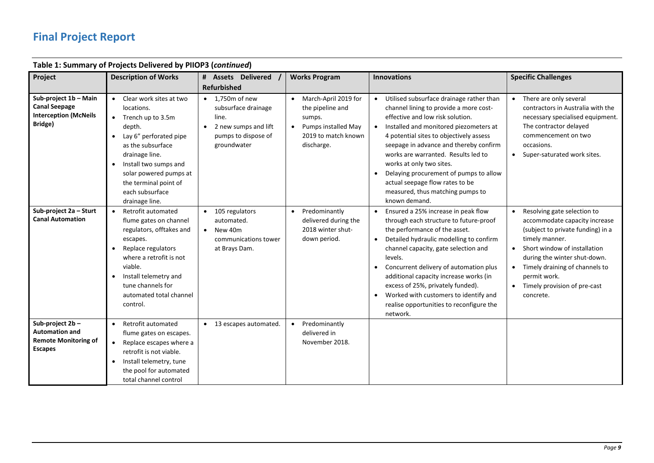| Table 1: Summary of Projects Delivered by PHOP3 ( <i>continued</i> )                      |                                                                                                                                                                                                                                                       |                                                                                                                                                          |                                                                                                                |                                                                                                                                                                                                                                                                                                                                                                                                                                                                  |                                                                                                                                                                                                                                                                                                     |
|-------------------------------------------------------------------------------------------|-------------------------------------------------------------------------------------------------------------------------------------------------------------------------------------------------------------------------------------------------------|----------------------------------------------------------------------------------------------------------------------------------------------------------|----------------------------------------------------------------------------------------------------------------|------------------------------------------------------------------------------------------------------------------------------------------------------------------------------------------------------------------------------------------------------------------------------------------------------------------------------------------------------------------------------------------------------------------------------------------------------------------|-----------------------------------------------------------------------------------------------------------------------------------------------------------------------------------------------------------------------------------------------------------------------------------------------------|
| Project                                                                                   | <b>Description of Works</b>                                                                                                                                                                                                                           | # Assets Delivered                                                                                                                                       | <b>Works Program</b>                                                                                           | <b>Innovations</b>                                                                                                                                                                                                                                                                                                                                                                                                                                               | <b>Specific Challenges</b>                                                                                                                                                                                                                                                                          |
| Sub-project 1b - Main<br><b>Canal Seepage</b><br><b>Interception (McNeils</b><br>Bridge)  | Clear work sites at two<br>$\bullet$<br>locations.<br>$\bullet$ Trench up to 3.5m<br>depth.<br>Lay 6" perforated pipe<br>as the subsurface<br>drainage line.<br>Install two sumps and<br>$\bullet$<br>solar powered pumps at<br>the terminal point of | <b>Refurbished</b><br>$\bullet$ 1,750m of new<br>subsurface drainage<br>line.<br>2 new sumps and lift<br>$\bullet$<br>pumps to dispose of<br>groundwater | March-April 2019 for<br>the pipeline and<br>sumps.<br>Pumps installed May<br>2019 to match known<br>discharge. | Utilised subsurface drainage rather than<br>$\bullet$<br>channel lining to provide a more cost-<br>effective and low risk solution.<br>Installed and monitored piezometers at<br>4 potential sites to objectively assess<br>seepage in advance and thereby confirm<br>works are warranted. Results led to<br>works at only two sites.<br>Delaying procurement of pumps to allow<br>actual seepage flow rates to be                                               | • There are only several<br>contractors in Australia with the<br>necessary specialised equipment.<br>The contractor delayed<br>commencement on two<br>occasions.<br>• Super-saturated work sites.                                                                                                   |
|                                                                                           | each subsurface<br>drainage line.                                                                                                                                                                                                                     |                                                                                                                                                          |                                                                                                                | measured, thus matching pumps to<br>known demand.                                                                                                                                                                                                                                                                                                                                                                                                                |                                                                                                                                                                                                                                                                                                     |
| Sub-project 2a - Sturt<br><b>Canal Automation</b>                                         | Retrofit automated<br>flume gates on channel<br>regulators, offtakes and<br>escapes.<br>Replace regulators<br>where a retrofit is not<br>viable.<br>Install telemetry and<br>$\bullet$<br>tune channels for<br>automated total channel<br>control.    | 105 regulators<br>automated.<br>New 40m<br>$\bullet$<br>communications tower<br>at Brays Dam.                                                            | Predominantly<br>$\bullet$<br>delivered during the<br>2018 winter shut-<br>down period.                        | Ensured a 25% increase in peak flow<br>through each structure to future-proof<br>the performance of the asset.<br>Detailed hydraulic modelling to confirm<br>channel capacity, gate selection and<br>levels.<br>Concurrent delivery of automation plus<br>$\bullet$<br>additional capacity increase works (in<br>excess of 25%, privately funded).<br>Worked with customers to identify and<br>$\bullet$<br>realise opportunities to reconfigure the<br>network. | Resolving gate selection to<br>accommodate capacity increase<br>(subject to private funding) in a<br>timely manner.<br>• Short window of installation<br>during the winter shut-down.<br>Timely draining of channels to<br>$\bullet$<br>permit work.<br>• Timely provision of pre-cast<br>concrete. |
| Sub-project 2b-<br><b>Automation and</b><br><b>Remote Monitoring of</b><br><b>Escapes</b> | Retrofit automated<br>$\bullet$<br>flume gates on escapes.<br>Replace escapes where a<br>$\bullet$<br>retrofit is not viable.<br>Install telemetry, tune<br>$\bullet$<br>the pool for automated<br>total channel control                              | 13 escapes automated.<br>$\bullet$                                                                                                                       | Predominantly<br>$\bullet$<br>delivered in<br>November 2018.                                                   |                                                                                                                                                                                                                                                                                                                                                                                                                                                                  |                                                                                                                                                                                                                                                                                                     |

### **Table 1: Summary of Projects Delivered by PIIOP3 (***continued***)**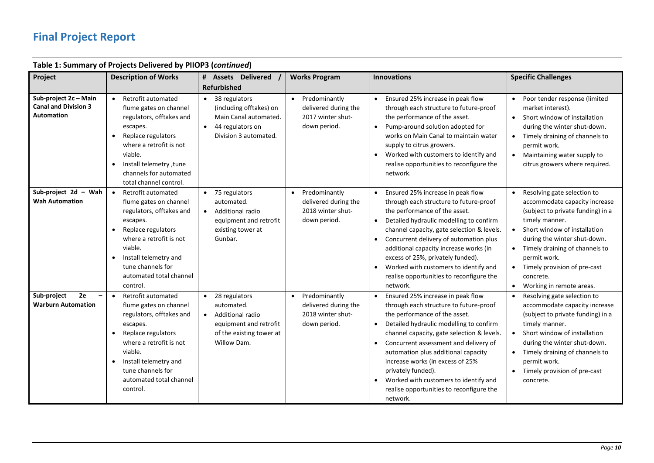|                                                                           | Table 1: Summary of Projects Delivered by PIIOP3 (continued)                                                                                                                                                                                                    |                                                                                                                                                |                                                                                         |                                                                                                                                                                                                                                                                                                                                                                                                                                                                                                      |                                                                                                                                                                                                                                                                                                                          |
|---------------------------------------------------------------------------|-----------------------------------------------------------------------------------------------------------------------------------------------------------------------------------------------------------------------------------------------------------------|------------------------------------------------------------------------------------------------------------------------------------------------|-----------------------------------------------------------------------------------------|------------------------------------------------------------------------------------------------------------------------------------------------------------------------------------------------------------------------------------------------------------------------------------------------------------------------------------------------------------------------------------------------------------------------------------------------------------------------------------------------------|--------------------------------------------------------------------------------------------------------------------------------------------------------------------------------------------------------------------------------------------------------------------------------------------------------------------------|
| Project                                                                   | <b>Description of Works</b>                                                                                                                                                                                                                                     | # Assets Delivered                                                                                                                             | <b>Works Program</b>                                                                    | <b>Innovations</b>                                                                                                                                                                                                                                                                                                                                                                                                                                                                                   | <b>Specific Challenges</b>                                                                                                                                                                                                                                                                                               |
|                                                                           |                                                                                                                                                                                                                                                                 | <b>Refurbished</b>                                                                                                                             |                                                                                         |                                                                                                                                                                                                                                                                                                                                                                                                                                                                                                      |                                                                                                                                                                                                                                                                                                                          |
| Sub-project 2c - Main<br><b>Canal and Division 3</b><br><b>Automation</b> | Retrofit automated<br>$\bullet$<br>flume gates on channel<br>regulators, offtakes and<br>escapes.<br>Replace regulators<br>where a retrofit is not<br>viable.<br>Install telemetry, tune<br>channels for automated<br>total channel control.                    | 38 regulators<br>$\bullet$<br>(including offtakes) on<br>Main Canal automated.<br>44 regulators on<br>$\bullet$<br>Division 3 automated.       | Predominantly<br>$\bullet$<br>delivered during the<br>2017 winter shut-<br>down period. | Ensured 25% increase in peak flow<br>$\bullet$<br>through each structure to future-proof<br>the performance of the asset.<br>Pump-around solution adopted for<br>$\bullet$<br>works on Main Canal to maintain water<br>supply to citrus growers.<br>Worked with customers to identify and<br>$\bullet$<br>realise opportunities to reconfigure the<br>network.                                                                                                                                       | • Poor tender response (limited<br>market interest).<br>• Short window of installation<br>during the winter shut-down.<br>• Timely draining of channels to<br>permit work.<br>• Maintaining water supply to<br>citrus growers where required.                                                                            |
| Sub-project 2d - Wah<br><b>Wah Automation</b>                             | Retrofit automated<br>$\bullet$<br>flume gates on channel<br>regulators, offtakes and<br>escapes.<br>Replace regulators<br>where a retrofit is not<br>viable.<br>Install telemetry and<br>tune channels for<br>automated total channel<br>control.              | • 75 regulators<br>automated.<br>Additional radio<br>$\bullet$<br>equipment and retrofit<br>existing tower at<br>Gunbar.                       | Predominantly<br>delivered during the<br>2018 winter shut-<br>down period.              | Ensured 25% increase in peak flow<br>through each structure to future-proof<br>the performance of the asset.<br>Detailed hydraulic modelling to confirm<br>channel capacity, gate selection & levels.<br>Concurrent delivery of automation plus<br>additional capacity increase works (in<br>excess of 25%, privately funded).<br>Worked with customers to identify and<br>realise opportunities to reconfigure the<br>network.                                                                      | • Resolving gate selection to<br>accommodate capacity increase<br>(subject to private funding) in a<br>timely manner.<br>• Short window of installation<br>during the winter shut-down.<br>• Timely draining of channels to<br>permit work.<br>• Timely provision of pre-cast<br>concrete.<br>• Working in remote areas. |
| Sub-project<br>2e<br><b>Warburn Automation</b>                            | Retrofit automated<br>$\bullet$<br>flume gates on channel<br>regulators, offtakes and<br>escapes.<br>Replace regulators<br>$\bullet$<br>where a retrofit is not<br>viable.<br>Install telemetry and<br>tune channels for<br>automated total channel<br>control. | 28 regulators<br>$\bullet$<br>automated.<br>Additional radio<br>$\bullet$<br>equipment and retrofit<br>of the existing tower at<br>Willow Dam. | Predominantly<br>$\bullet$<br>delivered during the<br>2018 winter shut-<br>down period. | Ensured 25% increase in peak flow<br>$\bullet$<br>through each structure to future-proof<br>the performance of the asset.<br>Detailed hydraulic modelling to confirm<br>$\bullet$<br>channel capacity, gate selection & levels.<br>Concurrent assessment and delivery of<br>$\bullet$<br>automation plus additional capacity<br>increase works (in excess of 25%<br>privately funded).<br>Worked with customers to identify and<br>$\bullet$<br>realise opportunities to reconfigure the<br>network. | Resolving gate selection to<br>accommodate capacity increase<br>(subject to private funding) in a<br>timely manner.<br>• Short window of installation<br>during the winter shut-down.<br>• Timely draining of channels to<br>permit work.<br>• Timely provision of pre-cast<br>concrete.                                 |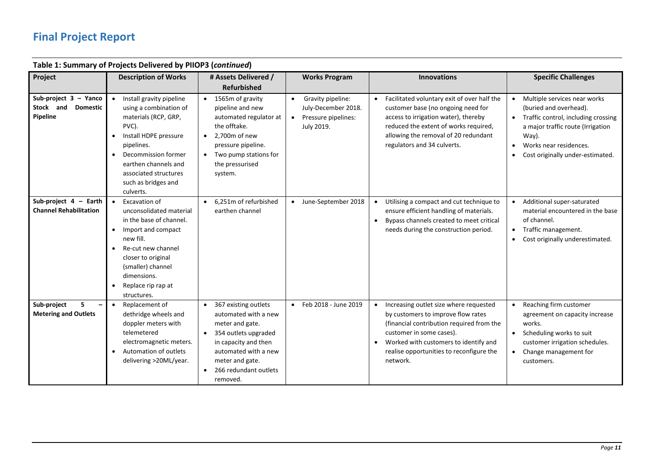| Table 1: Summary of Projects Delivered by PHOP3 ( <i>continued</i> ) |                                                                                                                                                                                                                                        |                                                                                                                                                                                                                           |                                                                                            |                                                                                                                                                                                                                                                        |                                                                                                                                                                                                                                       |  |
|----------------------------------------------------------------------|----------------------------------------------------------------------------------------------------------------------------------------------------------------------------------------------------------------------------------------|---------------------------------------------------------------------------------------------------------------------------------------------------------------------------------------------------------------------------|--------------------------------------------------------------------------------------------|--------------------------------------------------------------------------------------------------------------------------------------------------------------------------------------------------------------------------------------------------------|---------------------------------------------------------------------------------------------------------------------------------------------------------------------------------------------------------------------------------------|--|
| Project                                                              | <b>Description of Works</b>                                                                                                                                                                                                            | # Assets Delivered /                                                                                                                                                                                                      | <b>Works Program</b>                                                                       | <b>Innovations</b>                                                                                                                                                                                                                                     | <b>Specific Challenges</b>                                                                                                                                                                                                            |  |
|                                                                      |                                                                                                                                                                                                                                        | <b>Refurbished</b>                                                                                                                                                                                                        |                                                                                            |                                                                                                                                                                                                                                                        |                                                                                                                                                                                                                                       |  |
| Sub-project 3 - Yanco<br>Stock and<br><b>Domestic</b><br>Pipeline    | Install gravity pipeline<br>using a combination of<br>materials (RCP, GRP,<br>PVC).<br>Install HDPE pressure<br>pipelines.<br>Decommission former<br>earthen channels and<br>associated structures<br>such as bridges and<br>culverts. | 1565m of gravity<br>$\bullet$<br>pipeline and new<br>automated regulator at<br>the offtake.<br>2,700m of new<br>$\bullet$<br>pressure pipeline.<br>Two pump stations for<br>the pressurised<br>system.                    | Gravity pipeline:<br>July-December 2018.<br>Pressure pipelines:<br>$\bullet$<br>July 2019. | Facilitated voluntary exit of over half the<br>customer base (no ongoing need for<br>access to irrigation water), thereby<br>reduced the extent of works required,<br>allowing the removal of 20 redundant<br>regulators and 34 culverts.              | • Multiple services near works<br>(buried and overhead).<br>Traffic control, including crossing<br>$\bullet$<br>a major traffic route (Irrigation<br>Way).<br>Works near residences.<br>$\bullet$<br>Cost originally under-estimated. |  |
| Sub-project $4 -$ Earth<br><b>Channel Rehabilitation</b>             | Excavation of<br>unconsolidated material<br>in the base of channel.<br>Import and compact<br>new fill.<br>Re-cut new channel<br>closer to original<br>(smaller) channel<br>dimensions.<br>Replace rip rap at<br>structures.            | 6,251m of refurbished<br>earthen channel                                                                                                                                                                                  | June-September 2018<br>$\bullet$                                                           | Utilising a compact and cut technique to<br>ensure efficient handling of materials.<br>Bypass channels created to meet critical<br>needs during the construction period.                                                                               | Additional super-saturated<br>material encountered in the base<br>of channel.<br>• Traffic management.<br>Cost originally underestimated.                                                                                             |  |
| Sub-project<br><b>Metering and Outlets</b>                           | Replacement of<br>dethridge wheels and<br>doppler meters with<br>telemetered<br>electromagnetic meters.<br>Automation of outlets<br>delivering >20ML/year.                                                                             | 367 existing outlets<br>$\bullet$<br>automated with a new<br>meter and gate.<br>354 outlets upgraded<br>$\bullet$<br>in capacity and then<br>automated with a new<br>meter and gate.<br>266 redundant outlets<br>removed. | Feb 2018 - June 2019<br>$\bullet$                                                          | Increasing outlet size where requested<br>by customers to improve flow rates<br>(financial contribution required from the<br>customer in some cases).<br>Worked with customers to identify and<br>realise opportunities to reconfigure the<br>network. | Reaching firm customer<br>agreement on capacity increase<br>works.<br>Scheduling works to suit<br>customer irrigation schedules.<br>Change management for<br>customers.                                                               |  |

### **Table 1: Summary of Projects Delivered by PIIOP3 (***continued***)**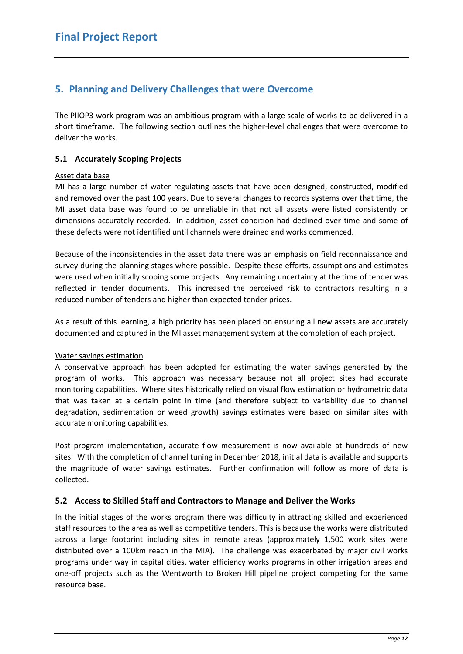### <span id="page-11-0"></span>**5. Planning and Delivery Challenges that were Overcome**

The PIIOP3 work program was an ambitious program with a large scale of works to be delivered in a short timeframe. The following section outlines the higher-level challenges that were overcome to deliver the works.

#### <span id="page-11-1"></span>**5.1 Accurately Scoping Projects**

#### Asset data base

MI has a large number of water regulating assets that have been designed, constructed, modified and removed over the past 100 years. Due to several changes to records systems over that time, the MI asset data base was found to be unreliable in that not all assets were listed consistently or dimensions accurately recorded. In addition, asset condition had declined over time and some of these defects were not identified until channels were drained and works commenced.

Because of the inconsistencies in the asset data there was an emphasis on field reconnaissance and survey during the planning stages where possible. Despite these efforts, assumptions and estimates were used when initially scoping some projects. Any remaining uncertainty at the time of tender was reflected in tender documents. This increased the perceived risk to contractors resulting in a reduced number of tenders and higher than expected tender prices.

As a result of this learning, a high priority has been placed on ensuring all new assets are accurately documented and captured in the MI asset management system at the completion of each project.

#### Water savings estimation

A conservative approach has been adopted for estimating the water savings generated by the program of works. This approach was necessary because not all project sites had accurate monitoring capabilities. Where sites historically relied on visual flow estimation or hydrometric data that was taken at a certain point in time (and therefore subject to variability due to channel degradation, sedimentation or weed growth) savings estimates were based on similar sites with accurate monitoring capabilities.

Post program implementation, accurate flow measurement is now available at hundreds of new sites. With the completion of channel tuning in December 2018, initial data is available and supports the magnitude of water savings estimates. Further confirmation will follow as more of data is collected.

#### <span id="page-11-2"></span>**5.2 Access to Skilled Staff and Contractors to Manage and Deliver the Works**

In the initial stages of the works program there was difficulty in attracting skilled and experienced staff resources to the area as well as competitive tenders. This is because the works were distributed across a large footprint including sites in remote areas (approximately 1,500 work sites were distributed over a 100km reach in the MIA). The challenge was exacerbated by major civil works programs under way in capital cities, water efficiency works programs in other irrigation areas and one-off projects such as the Wentworth to Broken Hill pipeline project competing for the same resource base.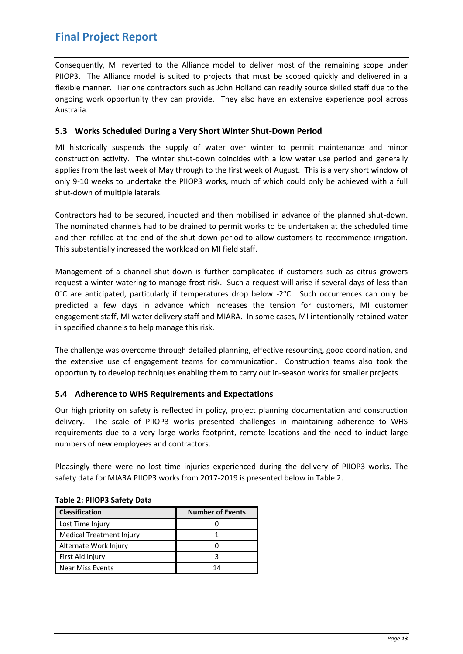<span id="page-12-2"></span>Consequently, MI reverted to the Alliance model to deliver most of the remaining scope under PIIOP3. The Alliance model is suited to projects that must be scoped quickly and delivered in a flexible manner. Tier one contractors such as John Holland can readily source skilled staff due to the ongoing work opportunity they can provide. They also have an extensive experience pool across Australia.

#### <span id="page-12-0"></span>**5.3 Works Scheduled During a Very Short Winter Shut-Down Period**

MI historically suspends the supply of water over winter to permit maintenance and minor construction activity. The winter shut-down coincides with a low water use period and generally applies from the last week of May through to the first week of August. This is a very short window of only 9-10 weeks to undertake the PIIOP3 works, much of which could only be achieved with a full shut-down of multiple laterals.

Contractors had to be secured, inducted and then mobilised in advance of the planned shut-down. The nominated channels had to be drained to permit works to be undertaken at the scheduled time and then refilled at the end of the shut-down period to allow customers to recommence irrigation. This substantially increased the workload on MI field staff.

Management of a channel shut-down is further complicated if customers such as citrus growers request a winter watering to manage frost risk. Such a request will arise if several days of less than 0°C are anticipated, particularly if temperatures drop below -2°C. Such occurrences can only be predicted a few days in advance which increases the tension for customers, MI customer engagement staff, MI water delivery staff and MIARA. In some cases, MI intentionally retained water in specified channels to help manage this risk.

The challenge was overcome through detailed planning, effective resourcing, good coordination, and the extensive use of engagement teams for communication. Construction teams also took the opportunity to develop techniques enabling them to carry out in-season works for smaller projects.

#### <span id="page-12-1"></span>**5.4 Adherence to WHS Requirements and Expectations**

Our high priority on safety is reflected in policy, project planning documentation and construction delivery. The scale of PIIOP3 works presented challenges in maintaining adherence to WHS requirements due to a very large works footprint, remote locations and the need to induct large numbers of new employees and contractors.

Pleasingly there were no lost time injuries experienced during the delivery of PIIOP3 works. The safety data for MIARA PIIOP3 works from 2017-2019 is presented below in Table 2.

| <b>Classification</b>           | <b>Number of Events</b> |  |  |
|---------------------------------|-------------------------|--|--|
| Lost Time Injury                |                         |  |  |
| <b>Medical Treatment Injury</b> |                         |  |  |
| Alternate Work Injury           |                         |  |  |
| First Aid Injury                |                         |  |  |
| <b>Near Miss Events</b>         | 14                      |  |  |

#### **Table 2: PIIOP3 Safety Data**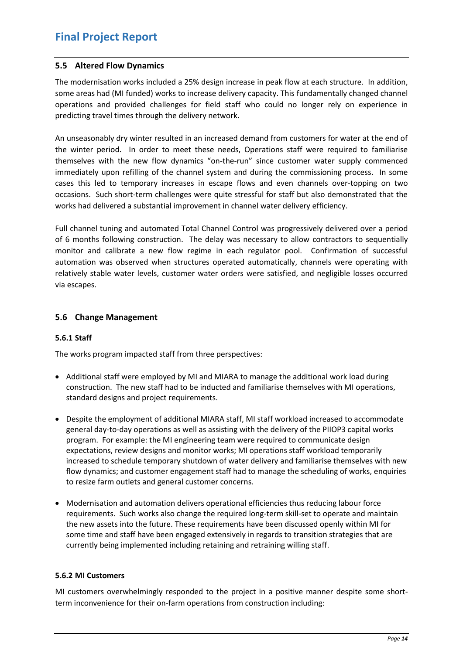#### **5.5 Altered Flow Dynamics**

The modernisation works included a 25% design increase in peak flow at each structure. In addition, some areas had (MI funded) works to increase delivery capacity. This fundamentally changed channel operations and provided challenges for field staff who could no longer rely on experience in predicting travel times through the delivery network.

An unseasonably dry winter resulted in an increased demand from customers for water at the end of the winter period. In order to meet these needs, Operations staff were required to familiarise themselves with the new flow dynamics "on-the-run" since customer water supply commenced immediately upon refilling of the channel system and during the commissioning process. In some cases this led to temporary increases in escape flows and even channels over-topping on two occasions. Such short-term challenges were quite stressful for staff but also demonstrated that the works had delivered a substantial improvement in channel water delivery efficiency.

Full channel tuning and automated Total Channel Control was progressively delivered over a period of 6 months following construction. The delay was necessary to allow contractors to sequentially monitor and calibrate a new flow regime in each regulator pool. Confirmation of successful automation was observed when structures operated automatically, channels were operating with relatively stable water levels, customer water orders were satisfied, and negligible losses occurred via escapes.

#### <span id="page-13-0"></span>**5.6 Change Management**

#### <span id="page-13-1"></span>**5.6.1 Staff**

The works program impacted staff from three perspectives:

- Additional staff were employed by MI and MIARA to manage the additional work load during construction. The new staff had to be inducted and familiarise themselves with MI operations, standard designs and project requirements.
- Despite the employment of additional MIARA staff, MI staff workload increased to accommodate general day-to-day operations as well as assisting with the delivery of the PIIOP3 capital works program. For example: the MI engineering team were required to communicate design expectations, review designs and monitor works; MI operations staff workload temporarily increased to schedule temporary shutdown of water delivery and familiarise themselves with new flow dynamics; and customer engagement staff had to manage the scheduling of works, enquiries to resize farm outlets and general customer concerns.
- Modernisation and automation delivers operational efficiencies thus reducing labour force requirements. Such works also change the required long-term skill-set to operate and maintain the new assets into the future. These requirements have been discussed openly within MI for some time and staff have been engaged extensively in regards to transition strategies that are currently being implemented including retaining and retraining willing staff.

#### <span id="page-13-2"></span>**5.6.2 MI Customers**

MI customers overwhelmingly responded to the project in a positive manner despite some shortterm inconvenience for their on-farm operations from construction including: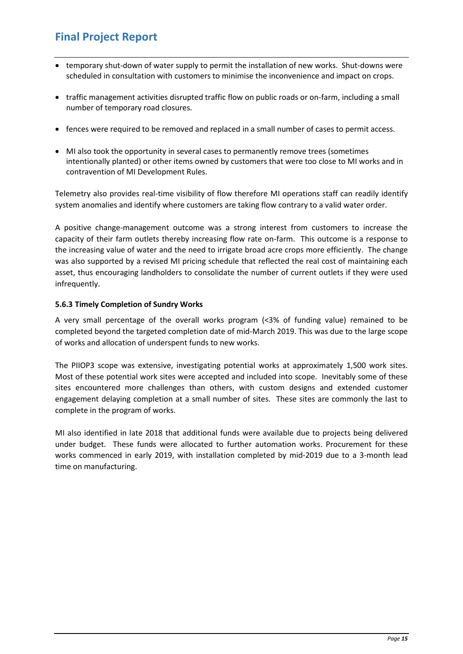- temporary shut-down of water supply to permit the installation of new works. Shut-downs were scheduled in consultation with customers to minimise the inconvenience and impact on crops.
- traffic management activities disrupted traffic flow on public roads or on-farm, including a small number of temporary road closures.
- fences were required to be removed and replaced in a small number of cases to permit access.
- MI also took the opportunity in several cases to permanently remove trees (sometimes intentionally planted) or other items owned by customers that were too close to MI works and in contravention of MI Development Rules.

Telemetry also provides real-time visibility of flow therefore MI operations staff can readily identify system anomalies and identify where customers are taking flow contrary to a valid water order.

A positive change-management outcome was a strong interest from customers to increase the capacity of their farm outlets thereby increasing flow rate on-farm. This outcome is a response to the increasing value of water and the need to irrigate broad acre crops more efficiently. The change was also supported by a revised MI pricing schedule that reflected the real cost of maintaining each asset, thus encouraging landholders to consolidate the number of current outlets if they were used infrequently.

#### <span id="page-14-0"></span>**5.6.3 Timely Completion of Sundry Works**

A very small percentage of the overall works program (<3% of funding value) remained to be completed beyond the targeted completion date of mid-March 2019. This was due to the large scope of works and allocation of underspent funds to new works.

The PIIOP3 scope was extensive, investigating potential works at approximately 1,500 work sites. Most of these potential work sites were accepted and included into scope. Inevitably some of these sites encountered more challenges than others, with custom designs and extended customer engagement delaying completion at a small number of sites. These sites are commonly the last to complete in the program of works.

MI also identified in late 2018 that additional funds were available due to projects being delivered under budget. These funds were allocated to further automation works. Procurement for these works commenced in early 2019, with installation completed by mid-2019 due to a 3-month lead time on manufacturing.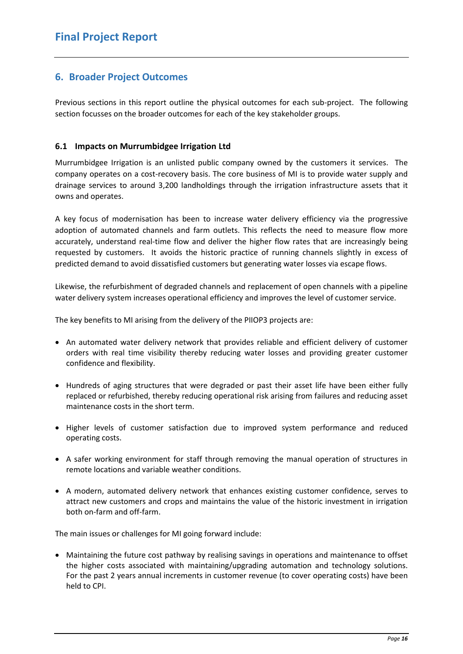### <span id="page-15-0"></span>**6. Broader Project Outcomes**

Previous sections in this report outline the physical outcomes for each sub-project. The following section focusses on the broader outcomes for each of the key stakeholder groups.

#### <span id="page-15-1"></span>**6.1 Impacts on Murrumbidgee Irrigation Ltd**

Murrumbidgee Irrigation is an unlisted public company owned by the customers it services. The company operates on a cost-recovery basis. The core business of MI is to provide water supply and drainage services to around 3,200 landholdings through the irrigation infrastructure assets that it owns and operates.

A key focus of modernisation has been to increase water delivery efficiency via the progressive adoption of automated channels and farm outlets. This reflects the need to measure flow more accurately, understand real-time flow and deliver the higher flow rates that are increasingly being requested by customers. It avoids the historic practice of running channels slightly in excess of predicted demand to avoid dissatisfied customers but generating water losses via escape flows.

Likewise, the refurbishment of degraded channels and replacement of open channels with a pipeline water delivery system increases operational efficiency and improves the level of customer service.

The key benefits to MI arising from the delivery of the PIIOP3 projects are:

- An automated water delivery network that provides reliable and efficient delivery of customer orders with real time visibility thereby reducing water losses and providing greater customer confidence and flexibility.
- Hundreds of aging structures that were degraded or past their asset life have been either fully replaced or refurbished, thereby reducing operational risk arising from failures and reducing asset maintenance costs in the short term.
- Higher levels of customer satisfaction due to improved system performance and reduced operating costs.
- A safer working environment for staff through removing the manual operation of structures in remote locations and variable weather conditions.
- A modern, automated delivery network that enhances existing customer confidence, serves to attract new customers and crops and maintains the value of the historic investment in irrigation both on-farm and off-farm.

The main issues or challenges for MI going forward include:

• Maintaining the future cost pathway by realising savings in operations and maintenance to offset the higher costs associated with maintaining/upgrading automation and technology solutions. For the past 2 years annual increments in customer revenue (to cover operating costs) have been held to CPI.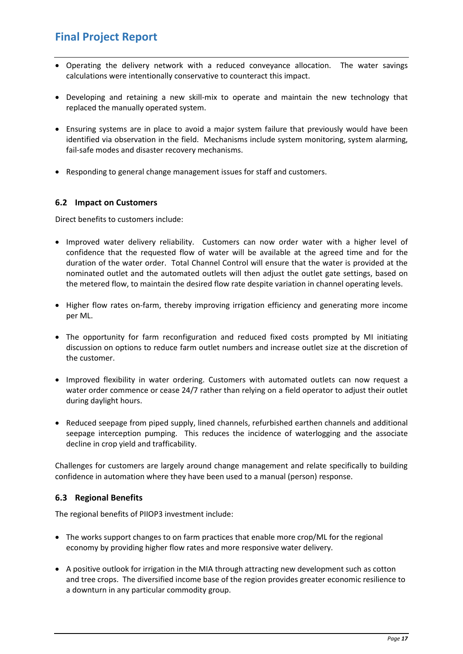- Operating the delivery network with a reduced conveyance allocation. The water savings calculations were intentionally conservative to counteract this impact.
- Developing and retaining a new skill-mix to operate and maintain the new technology that replaced the manually operated system.
- Ensuring systems are in place to avoid a major system failure that previously would have been identified via observation in the field. Mechanisms include system monitoring, system alarming, fail-safe modes and disaster recovery mechanisms.
- Responding to general change management issues for staff and customers.

#### <span id="page-16-0"></span>**6.2 Impact on Customers**

Direct benefits to customers include:

- Improved water delivery reliability. Customers can now order water with a higher level of confidence that the requested flow of water will be available at the agreed time and for the duration of the water order. Total Channel Control will ensure that the water is provided at the nominated outlet and the automated outlets will then adjust the outlet gate settings, based on the metered flow, to maintain the desired flow rate despite variation in channel operating levels.
- Higher flow rates on-farm, thereby improving irrigation efficiency and generating more income per ML.
- The opportunity for farm reconfiguration and reduced fixed costs prompted by MI initiating discussion on options to reduce farm outlet numbers and increase outlet size at the discretion of the customer.
- Improved flexibility in water ordering. Customers with automated outlets can now request a water order commence or cease 24/7 rather than relying on a field operator to adjust their outlet during daylight hours.
- Reduced seepage from piped supply, lined channels, refurbished earthen channels and additional seepage interception pumping. This reduces the incidence of waterlogging and the associate decline in crop yield and trafficability.

Challenges for customers are largely around change management and relate specifically to building confidence in automation where they have been used to a manual (person) response.

#### <span id="page-16-1"></span>**6.3 Regional Benefits**

The regional benefits of PIIOP3 investment include:

- The works support changes to on farm practices that enable more crop/ML for the regional economy by providing higher flow rates and more responsive water delivery.
- A positive outlook for irrigation in the MIA through attracting new development such as cotton and tree crops. The diversified income base of the region provides greater economic resilience to a downturn in any particular commodity group.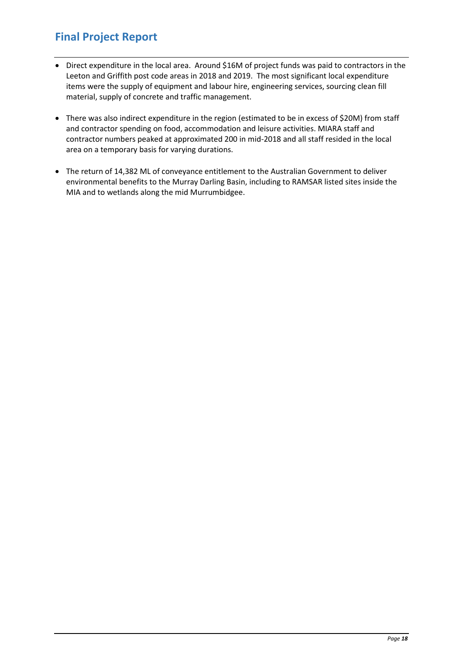- Direct expenditure in the local area. Around \$16M of project funds was paid to contractors in the Leeton and Griffith post code areas in 2018 and 2019. The most significant local expenditure items were the supply of equipment and labour hire, engineering services, sourcing clean fill material, supply of concrete and traffic management.
- There was also indirect expenditure in the region (estimated to be in excess of \$20M) from staff and contractor spending on food, accommodation and leisure activities. MIARA staff and contractor numbers peaked at approximated 200 in mid-2018 and all staff resided in the local area on a temporary basis for varying durations.
- The return of 14,382 ML of conveyance entitlement to the Australian Government to deliver environmental benefits to the Murray Darling Basin, including to RAMSAR listed sites inside the MIA and to wetlands along the mid Murrumbidgee.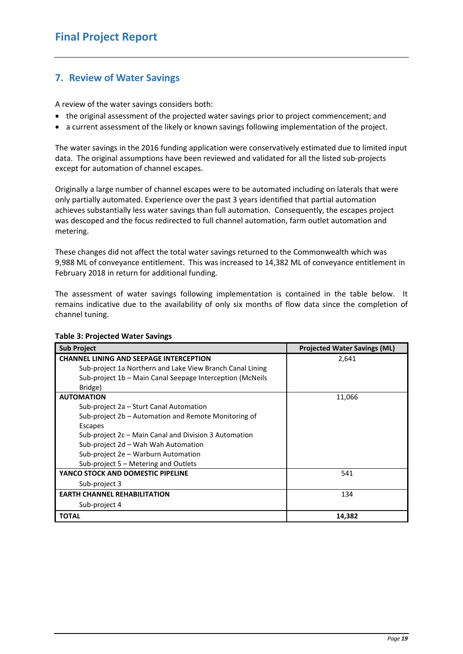### <span id="page-18-0"></span>**7. Review of Water Savings**

A review of the water savings considers both:

- the original assessment of the projected water savings prior to project commencement; and
- a current assessment of the likely or known savings following implementation of the project.

The water savings in the 2016 funding application were conservatively estimated due to limited input data. The original assumptions have been reviewed and validated for all the listed sub-projects except for automation of channel escapes.

Originally a large number of channel escapes were to be automated including on laterals that were only partially automated. Experience over the past 3 years identified that partial automation achieves substantially less water savings than full automation. Consequently, the escapes project was descoped and the focus redirected to full channel automation, farm outlet automation and metering.

These changes did not affect the total water savings returned to the Commonwealth which was 9,988 ML of conveyance entitlement. This was increased to 14,382 ML of conveyance entitlement in February 2018 in return for additional funding.

The assessment of water savings following implementation is contained in the table below. It remains indicative due to the availability of only six months of flow data since the completion of channel tuning.

| <b>Sub Project</b>                                        | <b>Projected Water Savings (ML)</b> |
|-----------------------------------------------------------|-------------------------------------|
| <b>CHANNEL LINING AND SEEPAGE INTERCEPTION</b>            | 2,641                               |
| Sub-project 1a Northern and Lake View Branch Canal Lining |                                     |
| Sub-project 1b - Main Canal Seepage Interception (McNeils |                                     |
| Bridge)                                                   |                                     |
| <b>AUTOMATION</b>                                         | 11,066                              |
| Sub-project 2a – Sturt Canal Automation                   |                                     |
| Sub-project 2b – Automation and Remote Monitoring of      |                                     |
| Escapes                                                   |                                     |
| Sub-project 2c – Main Canal and Division 3 Automation     |                                     |
| Sub-project 2d - Wah Wah Automation                       |                                     |
| Sub-project 2e - Warburn Automation                       |                                     |
| Sub-project 5 – Metering and Outlets                      |                                     |
| YANCO STOCK AND DOMESTIC PIPELINE                         | 541                                 |
| Sub-project 3                                             |                                     |
| <b>EARTH CHANNEL REHABILITATION</b>                       | 134                                 |
| Sub-project 4                                             |                                     |
| <b>TOTAL</b>                                              | 14,382                              |

#### **Table 3: Projected Water Savings**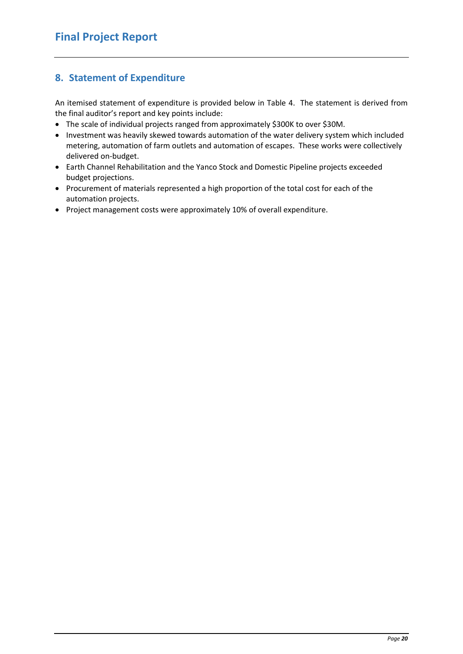## <span id="page-19-0"></span>**8. Statement of Expenditure**

An itemised statement of expenditure is provided below in Table 4. The statement is derived from the final auditor's report and key points include:

- The scale of individual projects ranged from approximately \$300K to over \$30M.
- Investment was heavily skewed towards automation of the water delivery system which included metering, automation of farm outlets and automation of escapes. These works were collectively delivered on-budget.
- Earth Channel Rehabilitation and the Yanco Stock and Domestic Pipeline projects exceeded budget projections.
- Procurement of materials represented a high proportion of the total cost for each of the automation projects.
- Project management costs were approximately 10% of overall expenditure.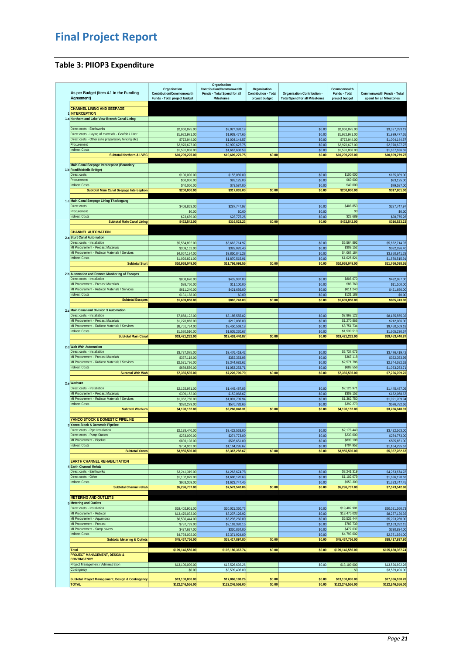### <span id="page-20-0"></span>**Table 3: PIIOP3 Expenditure**

|                                                                       |                                | Organisation                                     |                             |                                       |                         |                                                        |
|-----------------------------------------------------------------------|--------------------------------|--------------------------------------------------|-----------------------------|---------------------------------------|-------------------------|--------------------------------------------------------|
|                                                                       | Organisation                   | Contribution/Commonwealth                        | Organisation                |                                       | Commonwealth            |                                                        |
| As per Budget (Item 4.1 in the Funding<br>Agreement)                  | Contribution/Commonwealth      | Funds - Total Spend for all<br><b>Milestones</b> | <b>Contribution - Total</b> | <b>Organisation Contribution -</b>    | Funds - Total           | Commonwealth Funds - Total<br>spend for all Milestones |
|                                                                       | Funds - Total project budget   |                                                  | project budget              | <b>Total Spend for all Milestones</b> | project budget          |                                                        |
| <b>CHANNEL LINING AND SEEPAGE</b>                                     |                                |                                                  |                             |                                       |                         |                                                        |
| <b>INTERCEPTION</b>                                                   |                                |                                                  |                             |                                       |                         |                                                        |
| 1.a Northern and Lake View Branch Canal Lining                        |                                |                                                  |                             |                                       |                         |                                                        |
|                                                                       |                                |                                                  |                             |                                       |                         |                                                        |
| Direct costs - Earthworks                                             | \$2,960,875.00                 |                                                  |                             | \$0.00                                | \$2,960,875.00          | \$3,027,393.19                                         |
| Direct costs - Laying of materials - Geofab / Liner                   | \$1,922,971.00                 | \$3,027,393.19<br>\$1,939,477.65                 |                             | \$0.00                                | \$1,922,971.00          | \$1,939,477.65                                         |
| Direct costs - Other (site preparation, fencing etc)                  | \$772,944.00                   | \$1,004,144.57                                   |                             | \$0.00                                | \$772,944.00            | \$1,004,144.57                                         |
| Procurement                                                           | \$2,970,627.00                 | \$2,970,627.75                                   |                             | \$0.00                                | \$2,970,627.00          | \$2,970,627.75                                         |
| <b>Indirect Costs</b>                                                 | \$1,581,808.00                 | \$1,667,636.59                                   |                             | \$0.00                                | \$1,581,808.00          | \$1,667,636.59                                         |
| <b>Subtotal Northern &amp; LVBC</b>                                   | \$10,209,225.00                | \$10,609,279.75                                  | \$0.00                      | \$0.00                                | \$10,209,225.00         | \$10,609,279.75                                        |
|                                                                       |                                |                                                  |                             |                                       |                         |                                                        |
| Main Canal Seepage Interception (Boundary                             |                                |                                                  |                             |                                       |                         |                                                        |
| 1.b Road/McNeils Bridge)                                              |                                |                                                  |                             |                                       |                         |                                                        |
| Direct costs                                                          | \$100,000.00                   | \$155,089.00                                     |                             | \$0.00                                | \$100,000               | \$155,089.00                                           |
| Procurement                                                           | \$60,000.00                    | \$83,125.00                                      |                             | \$0.00                                | \$60,00                 | \$83,125.00                                            |
| <b>Indirect Costs</b>                                                 | \$40,000.00                    | \$79,587.00                                      |                             | \$0.00                                | \$40,000                | \$79,587.00                                            |
| <b>Subtotal Main Canal Seepage Interception</b>                       | \$200,000.00                   | \$317,801.00                                     | \$0.00                      | \$0.00                                | \$200,000.00            | \$317,801.00                                           |
|                                                                       |                                |                                                  |                             |                                       |                         |                                                        |
| 1.c Main Canal Seepage Lining Tharbogang                              |                                |                                                  |                             |                                       |                         |                                                        |
| Direct costs                                                          | \$408,853.00                   | \$287,747.97                                     |                             | \$0.00                                | \$408,853               | \$287,747.97                                           |
| Procurement                                                           | \$0.00                         | \$0.00                                           |                             | \$0.00                                | \$C                     | \$0.00                                                 |
| <b>Indirect Costs</b>                                                 | \$23,689.00                    | \$28,775.26                                      |                             | \$0.00                                | \$23,689                | \$28,775.26                                            |
| <b>Subtotal Main Canal Lining</b>                                     | \$432,542.00                   | \$316,523.23                                     | \$0.00                      | \$0.00                                | \$432,542.0             | \$316,523.2                                            |
|                                                                       |                                |                                                  |                             |                                       |                         |                                                        |
| <b>CHANNEL AUTOMATION</b>                                             |                                |                                                  |                             |                                       |                         |                                                        |
| 2.a Sturt Canal Automation                                            |                                |                                                  |                             |                                       |                         |                                                        |
| Direct costs - Installation                                           | \$5,564,892.00                 | \$5,662,714.97                                   |                             | \$0.00                                | \$5,564,892             | \$5,662,714.97                                         |
| MI Procurement - Precast Materials                                    | \$309,152.00                   | \$382,026.40                                     |                             | \$0.00                                | \$309,152               | \$382,026.40                                           |
| MI Procurement - Rubicon Materials / Services                         | \$4,067,184.00                 | \$3,850,841.28                                   |                             | \$0.00                                | \$4,067,184             | \$3,850,841.28                                         |
| <b>Indirect Costs</b>                                                 | \$1,026,821.00                 | \$1,870,515.91                                   |                             | \$0.00                                | \$1,026,821             | \$1,870,515.91                                         |
| <b>Subtotal Sturt</b>                                                 | \$10,968,049.00                | \$11,766,098.55                                  | \$0.00                      | \$0.00                                | \$10,968,049.00         | \$11,766,098.55                                        |
|                                                                       |                                |                                                  |                             |                                       |                         |                                                        |
| 2.b Automation and Remote Monitoring of Escapes                       |                                |                                                  |                             |                                       |                         |                                                        |
| Direct costs - Installation                                           | \$808,670.00                   | \$432,987.00                                     |                             | \$0.00                                | \$808,670               | \$432,987.00                                           |
| MI Procurement - Precast Materials                                    | \$88,760.00                    | \$11,100.00                                      |                             | \$0.00                                | \$88,760                | \$11,100.00                                            |
| MI Procurement - Rubicon Materials / Services                         | \$611,240.00                   | \$421,656.0                                      |                             | \$0.00                                | \$611,240               | \$421,656.0                                            |
| <b>Indirect Costs</b>                                                 | \$131,188.00                   | \$0.00                                           |                             | \$0.00                                | \$131,188               | \$0.00                                                 |
| <b>Subtotal Escapes</b>                                               | \$1,639,858.00                 | \$865,743.00                                     | \$0.00                      | \$0.00                                | \$1,639,858.00          | \$865,743.00                                           |
|                                                                       |                                |                                                  |                             |                                       |                         |                                                        |
| 2.c Main Canal and Division 3 Automation                              |                                |                                                  |                             |                                       |                         |                                                        |
| Direct costs - Installation                                           | \$7,868,122.00                 | \$8,185,555.02                                   |                             | \$0.00                                | \$7,868,122             | \$8,185,555.02                                         |
| MI Procurement - Precast Materials                                    | \$1,270,866.00                 | \$212,086.00                                     |                             | \$0.00                                | \$1,270,866             | \$212,086.00                                           |
| MI Procurement - Rubicon Materials / Services                         | \$8,751,734.00                 | \$9,450,569.18                                   |                             | \$0.00                                | \$8,751,734             | \$9,450,569.18                                         |
| <b>Indirect Costs</b>                                                 | \$1,530,510.00                 | \$1,605,230.67                                   |                             | \$0.00                                | \$1,530,510             | \$1,605,230.67                                         |
| <b>Subtotal Main Canal</b>                                            | \$19,421,232.00                | \$19,453,440.87                                  | \$0.00                      | \$0.00                                | \$19,421,232.00         | \$19,453,440.87                                        |
|                                                                       |                                |                                                  |                             |                                       |                         |                                                        |
| 2.d Wah Wah Automation                                                |                                |                                                  |                             |                                       |                         |                                                        |
| Direct costs - Installation                                           | \$3,737,075.00                 | \$3,476,419.42                                   |                             | \$0.00                                | \$3,737,075             | \$3,476,419.42                                         |
| MI Procurement - Precast Materials                                    | \$367,118.00                   | \$352,353.95                                     |                             | \$0.00                                | \$367,118               | \$352,353.95                                           |
| MI Procurement - Rubicon Materials / Services                         | \$2,571,786.00                 | \$2,344,682.62                                   |                             | \$0.00                                | \$2,571,786             | \$2,344,682.62                                         |
| <b>Indirect Costs</b>                                                 | \$689,556.00                   | \$1,053,253.71                                   |                             | \$0.00                                | \$689,556               | \$1,053,253.71                                         |
| <b>Subtotal Wah Wah</b>                                               | \$7,365,535.00                 | \$7,226,709.70                                   | \$0.00                      | \$0.00                                | \$7,365,535.00          | \$7,226,709.70                                         |
|                                                                       |                                |                                                  |                             |                                       |                         |                                                        |
| 2.e Warburn                                                           |                                |                                                  |                             |                                       |                         |                                                        |
| Direct costs - Installation                                           | \$2,125,971.00                 | \$1,445,487.05                                   |                             | \$0.00                                | \$2,125,97              | \$1,445,487.05                                         |
| MI Procurement - Precast Materials                                    | \$309,152.00                   | \$152,068.67                                     |                             | \$0.00                                | \$309,152               | \$152,068.67                                           |
| MI Procurement - Rubicon Materials / Services                         | \$1,362,750.00                 | \$1,091,709.94                                   |                             | \$0.00                                | \$1,362,750             | \$1,091,709.94                                         |
| <b>Indirect Costs</b>                                                 | \$392,279.00                   | \$576,782.66                                     |                             | \$0.00                                | \$392,279               | \$576,782.66                                           |
| <b>Subtotal Warburn</b>                                               | \$4,190,152.00                 | \$3,266,048.31                                   | \$0.00                      | \$0.00                                | \$4,190,152.00          | \$3,266,048.31                                         |
| YANCO STOCK & DOMESTIC PIPELINE                                       |                                |                                                  |                             |                                       |                         |                                                        |
|                                                                       |                                |                                                  |                             |                                       |                         |                                                        |
| 3 Yanco Stock & Domestic Pipeline<br>Jirect costs - Pipe Installation |                                |                                                  |                             |                                       |                         |                                                        |
| Direct costs - Pump Station                                           | \$2,178,440.00<br>\$233,000.00 | \$3,422,563.00<br>\$274,773.00                   |                             | \$0.00<br>\$0.00                      | \$2,178,44<br>\$233,000 | \$3,422,563.00<br>\$274,773.00                         |
| MI Procurement - Pipeline                                             | \$839,108.00                   | \$505,651.00                                     |                             | \$0.00                                | \$839,108               | \$505,651.00                                           |
| <b>Indirect Costs</b>                                                 | \$704,952.00                   | \$1,164,295.67                                   |                             | \$0.00                                | \$704,952               | \$1,164,295.67                                         |
| <b>Subtotal Yanco</b>                                                 | \$3,955,500.00                 | \$5,367,282.67                                   | \$0.00                      | \$0.00                                | \$3,955,500.00          | \$5,367,282.67                                         |
|                                                                       |                                |                                                  |                             |                                       |                         |                                                        |
| <b>EARTH CHANNEL REHABILITATION</b>                                   |                                |                                                  |                             |                                       |                         |                                                        |
| 4 Earth Channel Rehab                                                 |                                |                                                  |                             |                                       |                         |                                                        |
| Direct costs - Earthworks                                             | \$3,241,319.00                 | \$4,263,674,78                                   |                             | \$0.00                                | \$3,241,319             | \$4,263,674.78                                         |
| Direct costs - Other                                                  | \$1,102,079.00                 | \$1,686,120.63                                   |                             | \$0.00                                | \$1,102,079             | \$1,686,120.63                                         |
| <b>Indirect Costs</b>                                                 | \$953,309.00                   | \$1,623,747.45                                   |                             | \$0.00                                | \$953,309               | \$1,623,747.45                                         |
| <b>Subtotal Channel rehab</b>                                         | \$5,296,707.00                 | \$7,573,542.86                                   | \$0.00                      | \$0.00                                | \$5,296,707.00          | \$7,573,542.86                                         |
|                                                                       |                                |                                                  |                             |                                       |                         |                                                        |
| <b>METERING AND OUTLETS</b>                                           |                                |                                                  |                             |                                       |                         |                                                        |
| 5 Metering and Outlets                                                |                                |                                                  |                             |                                       |                         |                                                        |
| Direct costs - Installation                                           | \$19,402,901.00                | \$20,021,360.73                                  |                             | \$0.00                                | \$19,402,90             | \$20,021,360.73                                        |
| MI Procurement - Rubicon                                              | \$13,470,033.00                | \$8,237,126.92                                   |                             | \$0.00                                | \$13,470,033            | \$8,237,126.92                                         |
| MI Procurement - Aquamonix                                            | \$6,536,444.00                 | \$5,293,260.00                                   |                             | \$0.00                                | \$6,536,444             | \$5,293,260.00                                         |
| MI Procurement - Precast                                              | \$787,739.00                   | \$2,163,392.15                                   |                             | \$0.00                                | \$787,739               | \$2,163,392.15                                         |
| MI Procurement - Sump covers                                          | \$477,637.00                   | \$330,834.00                                     |                             | \$0.00                                | \$477,637               | \$330,834.00                                           |
| <b>Indirect Costs</b>                                                 | \$4,793,002.00                 | \$2,371,924.00                                   |                             | \$0.00                                | \$4,793,002             | \$2,371,924.00                                         |
| <b>Subtotal Metering &amp; Outlets</b>                                | \$45,467,756.00                | \$38,417,897.80                                  | \$0.00                      | \$0.00                                | \$45,467,756.00         | \$38,417,897.80                                        |
|                                                                       |                                |                                                  |                             |                                       |                         |                                                        |
| Total                                                                 | \$109,146,556.00               | \$105,180,367.74                                 | \$0.00                      | \$0.00                                | \$109,146,556.00        | \$105,180,367.74                                       |
| <b>PROJECT MANAGEMENT, DESIGN &amp;</b>                               |                                |                                                  |                             |                                       |                         |                                                        |
| <b>CONTINGENCY</b><br>Project Management / Administration             |                                |                                                  |                             |                                       |                         |                                                        |
|                                                                       | \$13,100,000.00                | \$13,526,692.26                                  |                             | \$0.00                                | \$13,100,000            | \$13,526,692.26                                        |
| Contingency                                                           | \$0.00                         | \$3,539,496.00                                   |                             |                                       | \$0                     | \$3,539,496.00                                         |
| <b>Subtotal Project Management, Design &amp; Contingency</b>          | \$13,100,000.00                | \$17,066,188.26                                  | \$0.00                      | \$0.00                                | \$13,100,000.00         | \$17,066,188.26                                        |
| <b>TOTAL</b>                                                          | \$122,246,556.00               | \$122,246,556.00                                 | \$0.00                      | \$0.00                                | \$122,246,556.00        | \$122,246,556.00                                       |